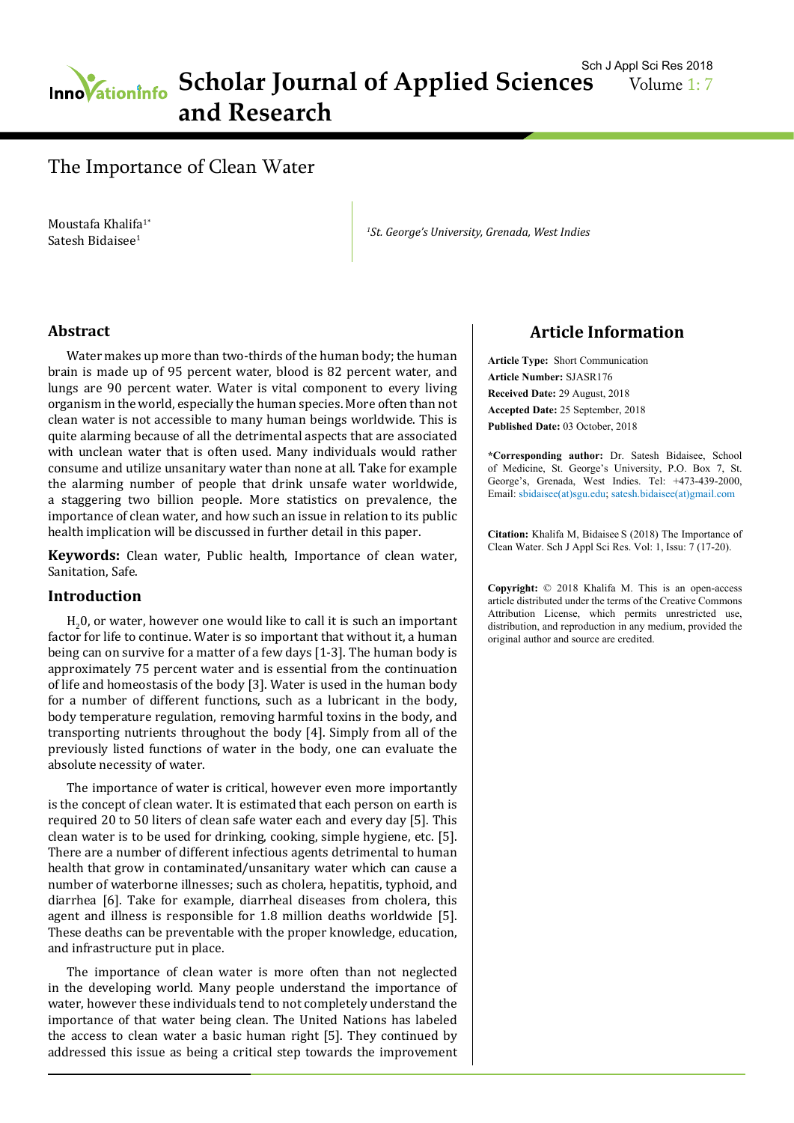# **Inno ationinfo** Scholar Journal of Applied Sciences **and Research**

## The Importance of Clean Water

Moustafa Khalifa<sup>1\*</sup> Satesh Bidaisee<sup>1</sup>

*1 St. George's University, Grenada, West Indies*

#### **Abstract**

Water makes up more than two-thirds of the human body; the human brain is made up of 95 percent water, blood is 82 percent water, and lungs are 90 percent water. Water is vital component to every living organism in the world, especially the human species. More often than not clean water is not accessible to many human beings worldwide. This is quite alarming because of all the detrimental aspects that are associated with unclean water that is often used. Many individuals would rather consume and utilize unsanitary water than none at all. Take for example the alarming number of people that drink unsafe water worldwide, a staggering two billion people. More statistics on prevalence, the importance of clean water, and how such an issue in relation to its public health implication will be discussed in further detail in this paper.

**Keywords:** Clean water, Public health, Importance of clean water, Sanitation, Safe.

#### **Introduction**

 $H_2$ 0, or water, however one would like to call it is such an important factor for life to continue. Water is so important that without it, a human being can on survive for a matter of a few days [1-3]. The human body is approximately 75 percent water and is essential from the continuation of life and homeostasis of the body [3]. Water is used in the human body for a number of different functions, such as a lubricant in the body, body temperature regulation, removing harmful toxins in the body, and transporting nutrients throughout the body [4]. Simply from all of the previously listed functions of water in the body, one can evaluate the absolute necessity of water.

The importance of water is critical, however even more importantly is the concept of clean water. It is estimated that each person on earth is required 20 to 50 liters of clean safe water each and every day [5]. This clean water is to be used for drinking, cooking, simple hygiene, etc. [5]. There are a number of different infectious agents detrimental to human health that grow in contaminated/unsanitary water which can cause a number of waterborne illnesses; such as cholera, hepatitis, typhoid, and diarrhea [6]. Take for example, diarrheal diseases from cholera, this agent and illness is responsible for 1.8 million deaths worldwide [5]. These deaths can be preventable with the proper knowledge, education, and infrastructure put in place.

The importance of clean water is more often than not neglected in the developing world. Many people understand the importance of water, however these individuals tend to not completely understand the importance of that water being clean. The United Nations has labeled the access to clean water a basic human right [5]. They continued by addressed this issue as being a critical step towards the improvement

### **Article Information**

**Article Type:** Short Communication **Article Number:** SJASR176 **Received Date:** 29 August, 2018 **Accepted Date:** 25 September, 2018 **Published Date:** 03 October, 2018

**\*Corresponding author:** Dr. Satesh Bidaisee, School of Medicine, St. George's University, P.O. Box 7, St. George's, Grenada, West Indies. Tel: +473-439-2000, Email: sbidaisee(at)sgu.edu; satesh.bidaisee(at)gmail.com

**Citation:** Khalifa M, Bidaisee S (2018) The Importance of Clean Water. Sch J Appl Sci Res. Vol: 1, Issu: 7 (17-20).

**Copyright:** © 2018 Khalifa M. This is an open-access article distributed under the terms of the Creative Commons Attribution License, which permits unrestricted use, distribution, and reproduction in any medium, provided the original author and source are credited.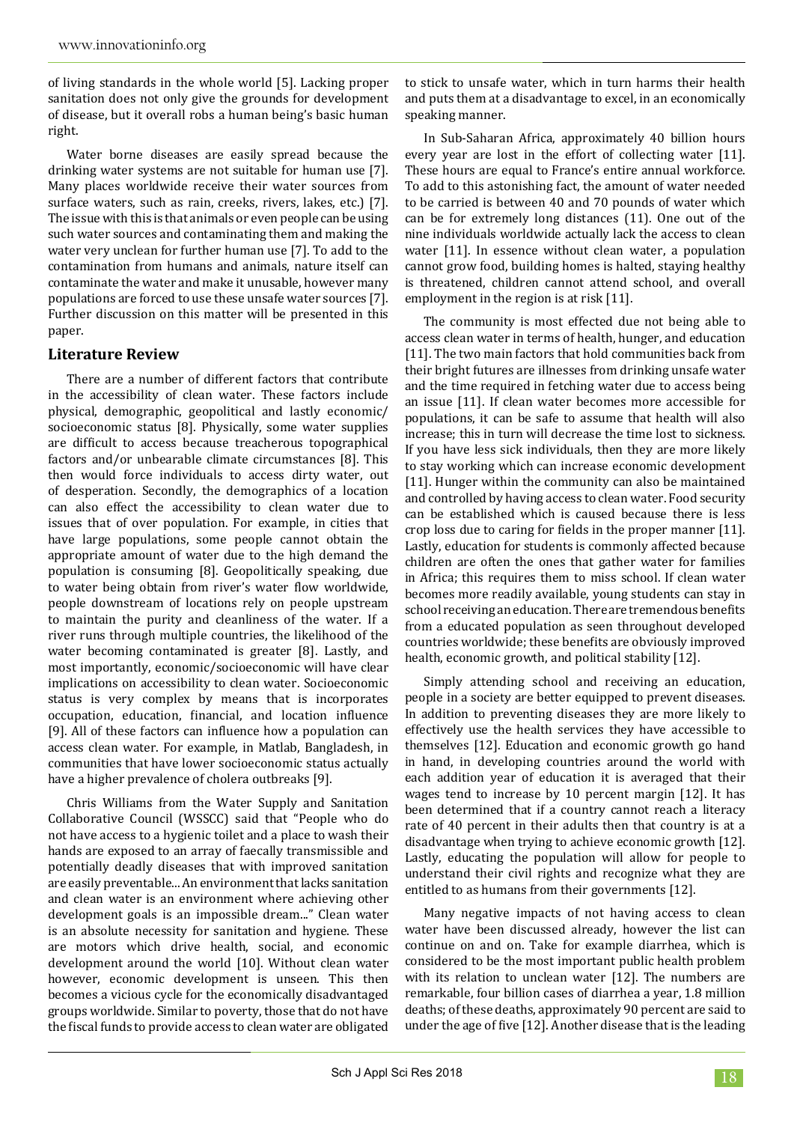of living standards in the whole world [5]. Lacking proper sanitation does not only give the grounds for development of disease, but it overall robs a human being's basic human right.

Water borne diseases are easily spread because the drinking water systems are not suitable for human use [7]. Many places worldwide receive their water sources from surface waters, such as rain, creeks, rivers, lakes, etc.) [7]. The issue with this is that animals or even people can be using such water sources and contaminating them and making the water very unclean for further human use [7]. To add to the contamination from humans and animals, nature itself can contaminate the water and make it unusable, however many populations are forced to use these unsafe water sources [7]. Further discussion on this matter will be presented in this paper.

### **Literature Review**

There are a number of different factors that contribute in the accessibility of clean water. These factors include physical, demographic, geopolitical and lastly economic/ socioeconomic status [8]. Physically, some water supplies are difficult to access because treacherous topographical factors and/or unbearable climate circumstances [8]. This then would force individuals to access dirty water, out of desperation. Secondly, the demographics of a location can also effect the accessibility to clean water due to issues that of over population. For example, in cities that have large populations, some people cannot obtain the appropriate amount of water due to the high demand the population is consuming [8]. Geopolitically speaking, due to water being obtain from river's water flow worldwide, people downstream of locations rely on people upstream to maintain the purity and cleanliness of the water. If a river runs through multiple countries, the likelihood of the water becoming contaminated is greater [8]. Lastly, and most importantly, economic/socioeconomic will have clear implications on accessibility to clean water. Socioeconomic status is very complex by means that is incorporates occupation, education, financial, and location influence [9]. All of these factors can influence how a population can access clean water. For example, in Matlab, Bangladesh, in communities that have lower socioeconomic status actually have a higher prevalence of cholera outbreaks [9].

Chris Williams from the Water Supply and Sanitation Collaborative Council (WSSCC) said that "People who do not have access to a hygienic toilet and a place to wash their hands are exposed to an array of faecally transmissible and potentially deadly diseases that with improved sanitation are easily preventable... An environment that lacks sanitation and clean water is an environment where achieving other development goals is an impossible dream..." Clean water is an absolute necessity for sanitation and hygiene. These are motors which drive health, social, and economic development around the world [10]. Without clean water however, economic development is unseen. This then becomes a vicious cycle for the economically disadvantaged groups worldwide. Similar to poverty, those that do not have the fiscal funds to provide access to clean water are obligated

to stick to unsafe water, which in turn harms their health and puts them at a disadvantage to excel, in an economically speaking manner.

In Sub-Saharan Africa, approximately 40 billion hours every year are lost in the effort of collecting water [11]. These hours are equal to France's entire annual workforce. To add to this astonishing fact, the amount of water needed to be carried is between 40 and 70 pounds of water which can be for extremely long distances (11). One out of the nine individuals worldwide actually lack the access to clean water [11]. In essence without clean water, a population cannot grow food, building homes is halted, staying healthy is threatened, children cannot attend school, and overall employment in the region is at risk [11].

The community is most effected due not being able to access clean water in terms of health, hunger, and education [11]. The two main factors that hold communities back from their bright futures are illnesses from drinking unsafe water and the time required in fetching water due to access being an issue [11]. If clean water becomes more accessible for populations, it can be safe to assume that health will also increase; this in turn will decrease the time lost to sickness. If you have less sick individuals, then they are more likely to stay working which can increase economic development [11]. Hunger within the community can also be maintained and controlled by having access to clean water. Food security can be established which is caused because there is less crop loss due to caring for fields in the proper manner [11]. Lastly, education for students is commonly affected because children are often the ones that gather water for families in Africa; this requires them to miss school. If clean water becomes more readily available, young students can stay in school receiving an education. There are tremendous benefits from a educated population as seen throughout developed countries worldwide; these benefits are obviously improved health, economic growth, and political stability [12].

Simply attending school and receiving an education, people in a society are better equipped to prevent diseases. In addition to preventing diseases they are more likely to effectively use the health services they have accessible to themselves [12]. Education and economic growth go hand in hand, in developing countries around the world with each addition year of education it is averaged that their wages tend to increase by 10 percent margin [12]. It has been determined that if a country cannot reach a literacy rate of 40 percent in their adults then that country is at a disadvantage when trying to achieve economic growth [12]. Lastly, educating the population will allow for people to understand their civil rights and recognize what they are entitled to as humans from their governments [12].

Many negative impacts of not having access to clean water have been discussed already, however the list can continue on and on. Take for example diarrhea, which is considered to be the most important public health problem with its relation to unclean water [12]. The numbers are remarkable, four billion cases of diarrhea a year, 1.8 million deaths; of these deaths, approximately 90 percent are said to under the age of five [12]. Another disease that is the leading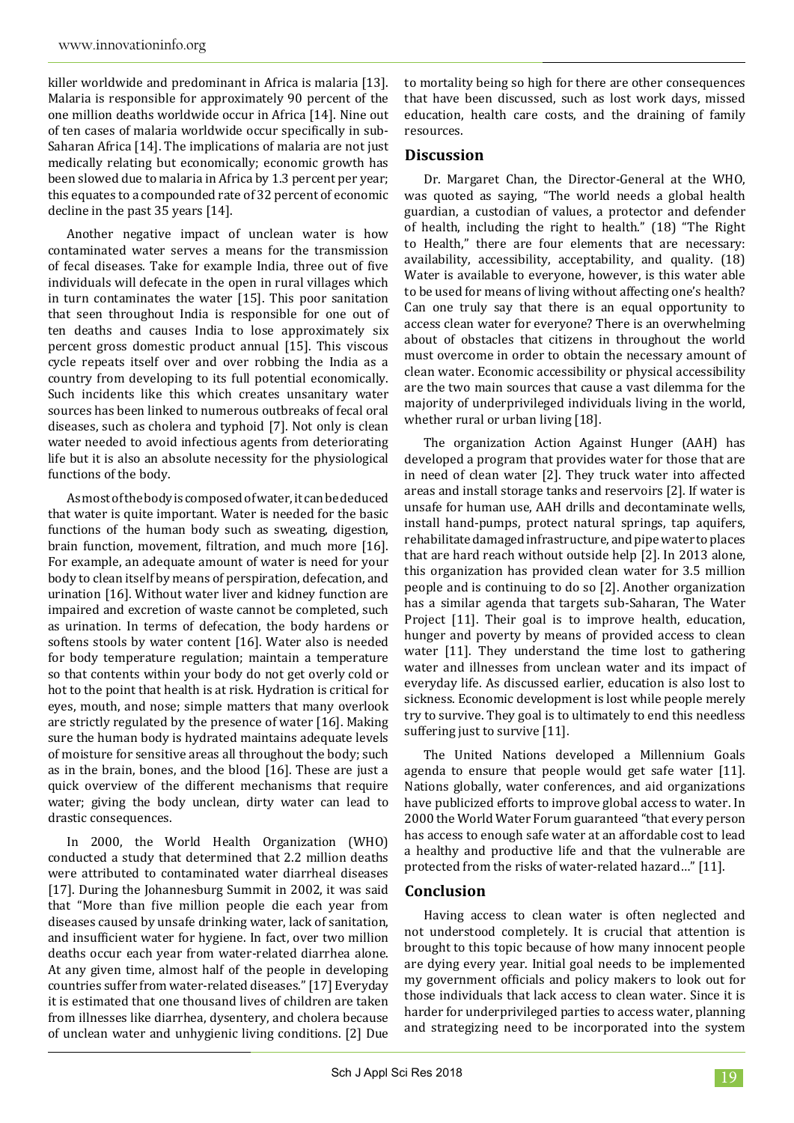killer worldwide and predominant in Africa is malaria [13]. Malaria is responsible for approximately 90 percent of the one million deaths worldwide occur in Africa [14]. Nine out of ten cases of malaria worldwide occur specifically in sub-Saharan Africa [14]. The implications of malaria are not just medically relating but economically; economic growth has been slowed due to malaria in Africa by 1.3 percent per year; this equates to a compounded rate of 32 percent of economic decline in the past 35 years [14].

Another negative impact of unclean water is how contaminated water serves a means for the transmission of fecal diseases. Take for example India, three out of five individuals will defecate in the open in rural villages which in turn contaminates the water [15]. This poor sanitation that seen throughout India is responsible for one out of ten deaths and causes India to lose approximately six percent gross domestic product annual [15]. This viscous cycle repeats itself over and over robbing the India as a country from developing to its full potential economically. Such incidents like this which creates unsanitary water sources has been linked to numerous outbreaks of fecal oral diseases, such as cholera and typhoid [7]. Not only is clean water needed to avoid infectious agents from deteriorating life but it is also an absolute necessity for the physiological functions of the body.

As most of the body is composed of water, it can be deduced that water is quite important. Water is needed for the basic functions of the human body such as sweating, digestion, brain function, movement, filtration, and much more [16]. For example, an adequate amount of water is need for your body to clean itself by means of perspiration, defecation, and urination [16]. Without water liver and kidney function are impaired and excretion of waste cannot be completed, such as urination. In terms of defecation, the body hardens or softens stools by water content [16]. Water also is needed for body temperature regulation; maintain a temperature so that contents within your body do not get overly cold or hot to the point that health is at risk. Hydration is critical for eyes, mouth, and nose; simple matters that many overlook are strictly regulated by the presence of water [16]. Making sure the human body is hydrated maintains adequate levels of moisture for sensitive areas all throughout the body; such as in the brain, bones, and the blood [16]. These are just a quick overview of the different mechanisms that require water; giving the body unclean, dirty water can lead to drastic consequences.

In 2000, the World Health Organization (WHO) conducted a study that determined that 2.2 million deaths were attributed to contaminated water diarrheal diseases [17]. During the Johannesburg Summit in 2002, it was said that "More than five million people die each year from diseases caused by unsafe drinking water, lack of sanitation, and insufficient water for hygiene. In fact, over two million deaths occur each year from water-related diarrhea alone. At any given time, almost half of the people in developing countries suffer from water-related diseases." [17] Everyday it is estimated that one thousand lives of children are taken from illnesses like diarrhea, dysentery, and cholera because of unclean water and unhygienic living conditions. [2] Due

to mortality being so high for there are other consequences that have been discussed, such as lost work days, missed education, health care costs, and the draining of family resources.

#### **Discussion**

Dr. Margaret Chan, the Director-General at the WHO, was quoted as saying, "The world needs a global health guardian, a custodian of values, a protector and defender of health, including the right to health." (18) "The Right to Health," there are four elements that are necessary: availability, accessibility, acceptability, and quality. (18) Water is available to everyone, however, is this water able to be used for means of living without affecting one's health? Can one truly say that there is an equal opportunity to access clean water for everyone? There is an overwhelming about of obstacles that citizens in throughout the world must overcome in order to obtain the necessary amount of clean water. Economic accessibility or physical accessibility are the two main sources that cause a vast dilemma for the majority of underprivileged individuals living in the world, whether rural or urban living [18].

The organization Action Against Hunger (AAH) has developed a program that provides water for those that are in need of clean water [2]. They truck water into affected areas and install storage tanks and reservoirs [2]. If water is unsafe for human use, AAH drills and decontaminate wells, install hand-pumps, protect natural springs, tap aquifers, rehabilitate damaged infrastructure, and pipe water to places that are hard reach without outside help [2]. In 2013 alone, this organization has provided clean water for 3.5 million people and is continuing to do so [2]. Another organization has a similar agenda that targets sub-Saharan, The Water Project [11]. Their goal is to improve health, education, hunger and poverty by means of provided access to clean water [11]. They understand the time lost to gathering water and illnesses from unclean water and its impact of everyday life. As discussed earlier, education is also lost to sickness. Economic development is lost while people merely try to survive. They goal is to ultimately to end this needless suffering just to survive [11].

The United Nations developed a Millennium Goals agenda to ensure that people would get safe water [11]. Nations globally, water conferences, and aid organizations have publicized efforts to improve global access to water. In 2000 the World Water Forum guaranteed "that every person has access to enough safe water at an affordable cost to lead a healthy and productive life and that the vulnerable are protected from the risks of water-related hazard…" [11].

#### **Conclusion**

Having access to clean water is often neglected and not understood completely. It is crucial that attention is brought to this topic because of how many innocent people are dying every year. Initial goal needs to be implemented my government officials and policy makers to look out for those individuals that lack access to clean water. Since it is harder for underprivileged parties to access water, planning and strategizing need to be incorporated into the system